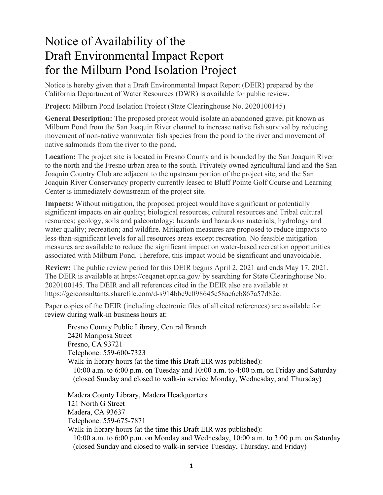## Notice of Availability of the Draft Environmental Impact Report for the Milburn Pond Isolation Project

Notice is hereby given that a Draft Environmental Impact Report (DEIR) prepared by the California Department of Water Resources (DWR) is available for public review.

**Project:** Milburn Pond Isolation Project (State Clearinghouse No. 2020100145)

**General Description:** The proposed project would isolate an abandoned gravel pit known as Milburn Pond from the San Joaquin River channel to increase native fish survival by reducing movement of non-native warmwater fish species from the pond to the river and movement of native salmonids from the river to the pond.

**Location:** The project site is located in Fresno County and is bounded by the San Joaquin River to the north and the Fresno urban area to the south. Privately owned agricultural land and the San Joaquin Country Club are adjacent to the upstream portion of the project site, and the San Joaquin River Conservancy property currently leased to Bluff Pointe Golf Course and Learning Center is immediately downstream of the project site.

**Impacts:** Without mitigation, the proposed project would have significant or potentially significant impacts on air quality; biological resources; cultural resources and Tribal cultural resources; geology, soils and paleontology; hazards and hazardous materials; hydrology and water quality; recreation; and wildfire. Mitigation measures are proposed to reduce impacts to less-than-significant levels for all resources areas except recreation. No feasible mitigation measures are available to reduce the significant impact on water-based recreation opportunities associated with Milburn Pond. Therefore, this impact would be significant and unavoidable.

**Review:** The public review period for this DEIR begins April 2, 2021 and ends May 17, 2021. The DEIR is available at https://ceqanet.opr.ca.gov/ by searching for State Clearinghouse No. 2020100145. The DEIR and all references cited in the DEIR also are available at https://geiconsultants.sharefile.com/d-s914bbc9c098645c58ae6eb867a57d82c.

Paper copies of the DEIR (including electronic files of all cited references) are available for review during walk-in business hours at:

Fresno County Public Library, Central Branch 2420 Mariposa Street Fresno, CA 93721 Telephone: 559-600-7323 Walk-in library hours (at the time this Draft EIR was published): 10:00 a.m. to 6:00 p.m. on Tuesday and 10:00 a.m. to 4:00 p.m. on Friday and Saturday (closed Sunday and closed to walk-in service Monday, Wednesday, and Thursday) Madera County Library, Madera Headquarters 121 North G Street Madera, CA 93637 Telephone: 559-675-7871 Walk-in library hours (at the time this Draft EIR was published):

10:00 a.m. to 6:00 p.m. on Monday and Wednesday, 10:00 a.m. to 3:00 p.m. on Saturday (closed Sunday and closed to walk-in service Tuesday, Thursday, and Friday)